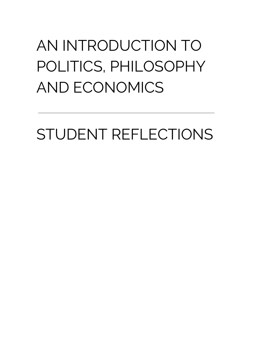## AN INTRODUCTION TO POLITICS, PHILOSOPHY AND ECONOMICS

STUDENT REFLECTIONS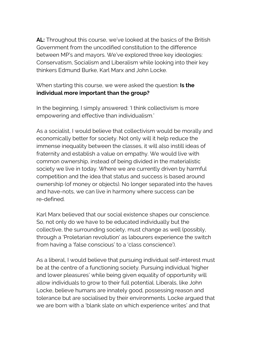**AL:** Throughout this course, we've looked at the basics of the British Government from the uncodified constitution to the difference between MP's and mayors. We've explored three key ideologies: Conservatism, Socialism and Liberalism while looking into their key thinkers Edmund Burke, Karl Marx and John Locke.

## When starting this course, we were asked the question: **Is the individual more important than the group?**

In the beginning, I simply answered: 'I think collectivism is more empowering and effective than individualism.'

As a socialist, I would believe that collectivism would be morally and economically better for society. Not only will it help reduce the immense inequality between the classes, it will also instill ideas of fraternity and establish a value on empathy. We would live with common ownership, instead of being divided in the materialistic society we live in today. Where we are currently driven by harmful competition and the idea that status and success is based around ownership (of money or objects). No longer separated into the haves and have-nots, we can live in harmony where success can be re-defined.

Karl Marx believed that our social existence shapes our conscience. So, not only do we have to be educated individually but the collective, the surrounding society, must change as well (possibly, through a 'Proletarian revolution' as labourers experience the switch from having a 'false conscious' to a 'class conscience').

As a liberal, I would believe that pursuing individual self-interest must be at the centre of a functioning society. Pursuing individual 'higher and lower pleasures' while being given equality of opportunity will allow individuals to grow to their full potential. Liberals, like John Locke, believe humans are innately good, possessing reason and tolerance but are socialised by their environments. Locke argued that we are born with a 'blank slate on which experience writes' and that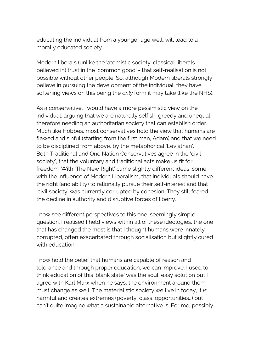educating the individual from a younger age well, will lead to a morally educated society.

Modern liberals (unlike the 'atomistic society' classical liberals believed in) trust in the 'common good' - that self-realisation is not possible without other people. So, although Modern liberals strongly believe in pursuing the development of the individual, they have softening views on this being the *only* form it may take (like the NHS).

As a conservative, I would have a more pessimistic view on the individual, arguing that we are naturally selfish, greedy and unequal, therefore needing an authoritarian society that can establish order. Much like Hobbes, most conservatives hold the view that humans are flawed and sinful (starting from the first man, Adam) and that we need to be disciplined from above, by the metaphorical 'Leviathan'. Both Traditional and One Nation Conservatives agree in the 'civil society', that the voluntary and traditional acts make us fit for freedom. With 'The New Right' came slightly different ideas, some with the influence of Modern Liberalism, that individuals should have the right (and ability) to rationally pursue their self-interest and that 'civil society' was currently corrupted by cohesion. They still feared the decline in authority and disruptive forces of liberty.

I now see different perspectives to this one, seemingly simple, question. I realised I held views within all of these ideologies, the one that has changed the most is that I thought humans were innately corrupted, often exacerbated through socialisation but slightly cured with education.

I now hold the belief that humans are capable of reason and tolerance and through proper education, we can improve. I used to think education of this 'blank slate' was the soul, easy solution but I agree with Karl Marx when he says, the environment around them must change as well. The materialistic society we live in today, it *is* harmful and creates extremes (poverty, class, opportunities…) but I can't quite imagine what a sustainable alternative is. For me, possibly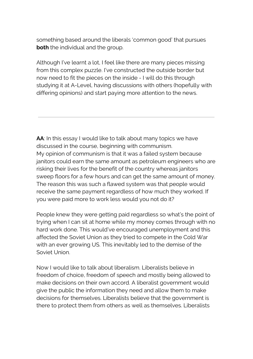something based around the liberals 'common good' that pursues **both** the individual and the group.

Although I've learnt a lot, I feel like there are many pieces missing from this complex puzzle. I've constructed the outside border but now need to fit the pieces on the inside - I will do this through studying it at A-Level, having discussions with others (hopefully with differing opinions) and start paying more attention to the news.

**AA**: In this essay I would like to talk about many topics we have discussed in the course, beginning with communism. My opinion of communism is that it was a failed system because janitors could earn the same amount as petroleum engineers who are risking their lives for the benefit of the country whereas janitors sweep floors for a few hours and can get the same amount of money. The reason this was such a flawed system was that people would receive the same payment regardless of how much they worked. If you were paid more to work less would you not do it?

People knew they were getting paid regardless so what's the point of trying when I can sit at home while my money comes through with no hard work done. This would've encouraged unemployment and this affected the Soviet Union as they tried to compete in the Cold War with an ever growing US. This inevitably led to the demise of the Soviet Union.

Now I would like to talk about liberalism. Liberalists believe in freedom of choice, freedom of speech and mostly being allowed to make decisions on their own accord. A liberalist government would give the public the information they need and allow them to make decisions for themselves. Liberalists believe that the government is there to protect them from others as well as themselves. Liberalists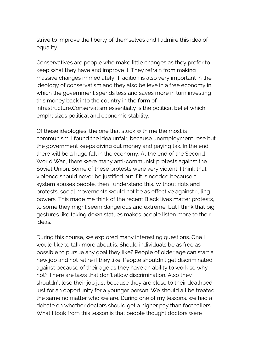strive to improve the liberty of themselves and I admire this idea of equality.

Conservatives are people who make little changes as they prefer to keep what they have and improve it. They refrain from making massive changes immediately. Tradition is also very important in the ideology of conservatism and they also believe in a free economy in which the government spends less and saves more in turn investing this money back into the country in the form of infrastructure.Conservatism essentially is the political belief which emphasizes political and economic stability.

Of these ideologies, the one that stuck with me the most is communism. I found the idea unfair, because unemployment rose but the government keeps giving out money and paying tax. In the end there will be a huge fall in the economy. At the end of the Second World War , there were many anti-communist protests against the Soviet Union. Some of these protests were very violent. I think that violence should never be justified but if it is needed because a system abuses people, then I understand this. Without riots and protests, social movements would not be as effective against ruling powers. This made me think of the recent Black lives matter protests, to some they might seem dangerous and extreme, but I think that big gestures like taking down statues makes people listen more to their ideas.

During this course, we explored many interesting questions. One I would like to talk more about is: Should individuals be as free as possible to pursue any goal they like? People of older age can start a new job and not retire if they like. People shouldn't get discriminated against because of their age as they have an ability to work so why not? There are laws that don't allow discrimination. Also they shouldn't lose their job just because they are close to their deathbed just for an opportunity for a younger person. We should all be treated the same no matter who we are. During one of my lessons, we had a debate on whether doctors should get a higher pay than footballers. What I took from this lesson is that people thought doctors were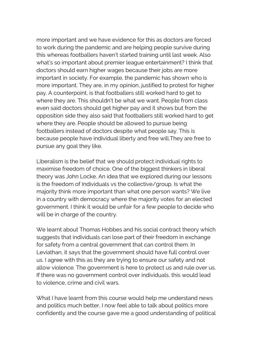more important and we have evidence for this as doctors are forced to work during the pandemic and are helping people survive during this whereas footballers haven't started training until last week. Also what's so important about premier league entertainment? I think that doctors should earn higher wages because their jobs are more important in society. For example, the pandemic has shown who is more important. They are, in my opinion, justified to protest for higher pay. A counterpoint, is that footballers still worked hard to get to where they are. This shouldn't be what we want. People from class even said doctors should get higher pay and it shows but from the opposition side they also said that footballers still worked hard to get where they are. People should be allowed to pursue being footballers instead of doctors despite what people say. This is because people have individual liberty and free will.They are free to pursue any goal they like.

Liberalism is the belief that we should protect individual rights to maximise freedom of choice. One of the biggest thinkers in liberal theory was John Locke. An idea that we explored during our lessons is the freedom of Individuals vs the collective/group. Is what the majority think more important than what one person wants? We live in a country with democracy where the majority votes for an elected government. I think it would be unfair for a few people to decide who will be in charge of the country.

We learnt about Thomas Hobbes and his social contract theory which suggests that individuals can lose part of their freedom in exchange for safety from a central government that can control them. In Leviathan, it says that the government should have full control over us. I agree with this as they are trying to ensure our safety and not allow violence. The government is here to protect us and rule over us. If there was no government control over individuals, this would lead to violence, crime and civil wars.

What I have learnt from this course would help me understand news and politics much better, I now feel able to talk about politics more confidently and the course gave me a good understanding of political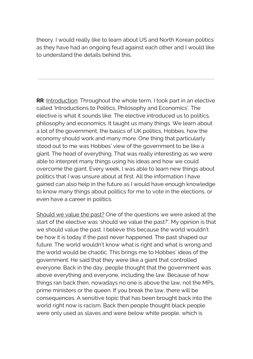theory. I would really like to learn about US and North Korean politics as they have had an ongoing feud against each other and I would like to understand the details behind this.

**RR**: Introduction: Throughout the whole term, I took part in an elective called 'Introductions to Politics, Philosophy and Economics'. The elective is what it sounds like. The elective introduced us to politics, philosophy and economics. It taught us many things. We learn about a lot of the government, the basics of UK politics, Hobbes, how the economy should work and many more. One thing that particularly stood out to me was Hobbes' view of the government to be like a giant. The head of everything. That was really interesting as we were able to interpret many things using his ideas and how we could overcome the giant. Every week, I was able to learn new things about politics that I was unsure about at first. All the information I have gained can also help in the future as I would have enough knowledge to know many things about politics for me to vote in the elections, or even have a career in politics.

Should we value the past? One of the questions we were asked at the start of the elective was 'should we value the past?'. My opinion is that we should value the past. I believe this because the world wouldn't be how it is today if the past never happened. The past shaped our future. The world wouldn't know what is right and what is wrong and the world would be chaotic. This brings me to Hobbes' ideas of the government. He said that they were like a giant that controlled everyone. Back in the day, people thought that the government was above everything and everyone, including the law. Because of how things ran back then, nowadays no one is above the law, not the MPs, prime ministers or the queen. If you break the law, there will be consequences. A sensitive topic that has been brought back into the world right now is racism. Back then people thought black people were only used as slaves and were below white people, which is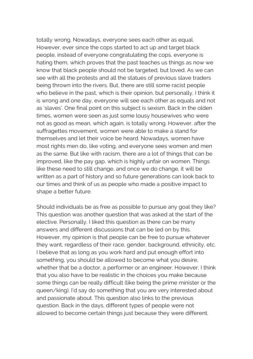totally wrong. Nowadays, everyone sees each other as equal. However, ever since the cops started to act up and target black people, instead of everyone congratulating the cops, everyone is hating them, which proves that the past teaches us things as now we know that black people should not be targeted, but loved. As we can see with all the protests and all the statues of previous slave traders being thrown into the rivers. But, there are still some racist people who believe in the past, which is their opinion, but personally, I think it is wrong and one day, everyone will see each other as equals and not as 'slaves'. One final point on this subject is sexism. Back in the olden times, women were seen as just some lousy housewives who were not as good as mean, which again, is totally wrong. However, after the suffragettes movement, women were able to make a stand for themselves and let their voice be heard. Nowadays, women have most rights men do, like voting, and everyone sees women and men as the same. But like with racism, there are a lot of things that can be improved, like the pay gap, which is highly unfair on women. Things like these need to still change, and once we do change, it will be written as a part of history and so future generations can look back to our times and think of us as people who made a positive impact to shape a better future.

Should individuals be as free as possible to pursue any goal they like? This question was another question that was asked at the start of the elective. Personally, I liked this question as there can be many answers and different discussions that can be led on by this. However, my opinion is that people can be free to pursue whatever they want, regardless of their race, gender, background, ethnicity, etc. I believe that as long as you work hard and put enough effort into something, you should be allowed to become what you desire, whether that be a doctor, a performer or an engineer. However, I think that you also have to be realistic in the choices you make because some things can be really difficult (like being the prime minister or the queen/king). I'd say do something that you are very interested about and passionate about. This question also links to the previous question. Back in the days, different types of people were not allowed to become certain things just because they were different.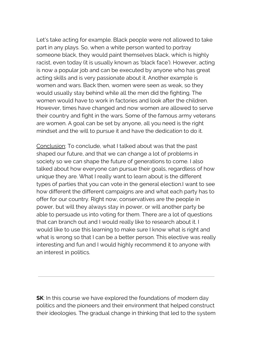Let's take acting for example. Black people were not allowed to take part in any plays. So, when a white person wanted to portray someone black, they would paint themselves black, which is highly racist, even today (it is usually known as 'black face'). However, acting is now a popular job and can be executed by anyone who has great acting skills and is very passionate about it. Another example is women and wars. Back then, women were seen as weak, so they would usually stay behind while all the men did the fighting. The women would have to work in factories and look after the children. However, times have changed and now women are allowed to serve their country and fight in the wars. Some of the famous army veterans are women. A goal can be set by anyone, all you need is the right mindset and the will to pursue it and have the dedication to do it.

Conclusion: To conclude, what I talked about was that the past shaped our future, and that we can change a lot of problems in society so we can shape the future of generations to come. I also talked about how everyone can pursue their goals, regardless of how unique they are. What I really want to learn about is the different types of parties that you can vote in the general election.I want to see how different the different campaigns are and what each party has to offer for our country. Right now, conservatives are the people in power, but will they always stay in power, or will another party be able to persuade us into voting for them. There are a lot of questions that can branch out and I would really like to research about it. I would like to use this learning to make sure I know what is right and what is wrong so that I can be a better person. This elective was really interesting and fun and I would highly recommend it to anyone with an interest in politics.

**SK:** In this course we have explored the foundations of modern day politics and the pioneers and their environment that helped construct their ideologies. The gradual change in thinking that led to the system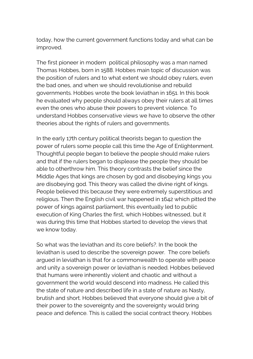today, how the current government functions today and what can be improved.

The first pioneer in modern political philosophy was a man named Thomas Hobbes, born in 1588. Hobbes main topic of discussion was the position of rulers and to what extent we should obey rulers, even the bad ones, and when we should revolutionise and rebuild governments. Hobbes wrote the book leviathan in 1651. In this book he evaluated why people should always obey their rulers at all times even the ones who abuse their powers to prevent violence. To understand Hobbes conservative views we have to observe the other theories about the rights of rulers and governments.

In the early 17th century political theorists began to question the power of rulers some people call this time the Age of Enlightenment. Thoughtful people began to believe the people should make rulers and that if the rulers began to displease the people they should be able to otherthrow him. This theory contrasts the belief since the Middle Ages that kings are chosen by god and disobeying kings you are disobeying god. This theory was called the divine right of kings. People believed this because they were extremely superstitious and religious. Then the English civil war happened in 1642 which pitted the power of kings against parliament, this eventually led to public execution of King Charles the first, which Hobbes witnessed, but it was during this time that Hobbes started to develop the views that we know today.

So what was the leviathan and its core beliefs?. In the book the leviathan is used to describe the sovereign power. The core beliefs argued in leviathan is that for a commonwealth to operate with peace and unity a sovereign power or leviathan is needed. Hobbes believed that humans were inherently violent and chaotic and without a government the world would descend into madness. He called this the state of nature and described life in a state of nature as Nasty, brutish and short. Hobbes believed that everyone should give a bit of their power to the sovereignty and the sovereignty would bring peace and defence. This is called the social contract theory. Hobbes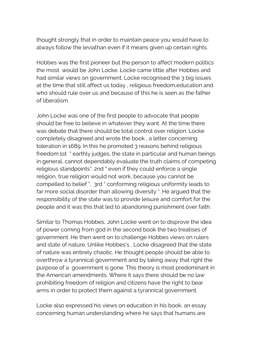thought strongly that in order to maintain peace you would have to always follow the leviathan even if it means given up certain rights.

Hobbes was the first pioneer but the person to affect modern politics the most would be John Locke. Locke came little after Hobbes and had similar views on government. Locke recognised the 3 big issues at the time that still affect us today , religious freedom,education and who should rule over us and because of this he is seen as the father of liberalism.

John Locke was one of the first people to advocate that people should be free to believe in whatever they want. At the time there was debate that there should be total control over religion. Locke completely disagreed and wrote the book , a letter concerning toleration in 1689. In this he promoted 3 reasons behind religious freedom.1st " earthly judges, the state in particular and human beings in general, cannot dependably evaluate the truth claims of competing religious standpoints". 2nd " even if they could enforce a single religion, true religion would not work, because you cannot be compelled to belief ". 3rd " conforming religious uniformity leads to far more social disorder than allowing diversity ". He argued that the responsibility of the state was to provide leisure and comfort for the people and it was this that led to abandoning punishment over faith.

Similar to Thomas Hobbes, John Locke went on to disprove the idea of power coming from god in the second book the two treatises of government. He then went on to challenge Hobbes views on rulers and state of nature. Unlike Hobbes's , Locke disagreed that the state of nature was entirely chaotic. He thought people should be able to overthrow a tyrannical government and by taking away that right the purpose of a government is gone. This theory is most predominant in the American amendments. Where it says there should be no law prohibiting freedom of religion and citizens have the right to bear arms in order to protect them against a tyrannical government.

Locke also expressed his views on education in his book, an essay concerning human understanding where he says that humans are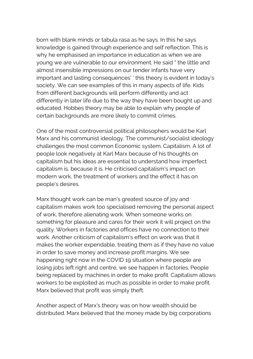born with blank minds or tabula rasa as he says. In this he says knowledge is gained through experience and self reflection. This is why he emphasised an importance in education as when we are young we are vulnerable to our environment. He said " the little and almost insensible impressions on our tender infants have very important and lasting consequences' ' this theory is evident in today's society. We can see examples of this in many aspects of life. Kids from different backgrounds will perform differently and act differently in later life due to the way they have been bought up and educated. Hobbes theory may be able to explain why people of certain backgrounds are more likely to commit crimes.

One of the most controversial political philosophers would be Karl Marx and his communist ideology. The communist/socialist ideology challenges the most common Economic system. Capitalism. A lot of people look negatively at Karl Marx because of his thoughts on capitalism but his ideas are essential to understand how imperfect capitalism is, because it is. He criticised capitalism's impact on modern work, the treatment of workers and the effect it has on people's desires.

Marx thought work can be man's greatest source of joy and capitalism makes work too specialised removing the personal aspect of work, therefore alienating work. When someone works on something for pleasure and cares for their work it will project on the quality. Workers in factories and offices have no connection to their work. Another criticism of capitalism's effect on work was that it makes the worker expendable, treating them as if they have no value in order to save money and increase profit margins. We see happening right now in the COVID 19 situation where people are losing jobs left right and centre, we see happen in factories. People being replaced by machines in order to make profit. Capitalism allows workers to be exploited as much as possible in order to make profit. Marx believed that profit was simply theft.

Another aspect of Marx's theory was on how wealth should be distributed. Marx believed that the money made by big corporations